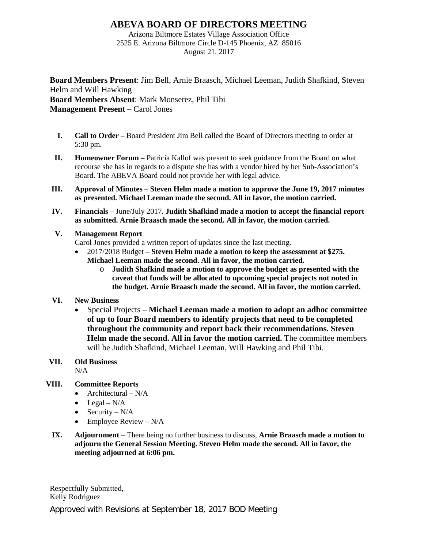## **ABEVA BOARD OF DIRECTORS MEETING**

Arizona Biltmore Estates Village Association Office 2525 E. Arizona Biltmore Circle D-145 Phoenix, AZ 85016 August 21, 2017

**Board Members Present**: Jim Bell, Arnie Braasch, Michael Leeman, Judith Shafkind, Steven Helm and Will Hawking **Board Members Absent**: Mark Monserez, Phil Tibi **Management Present** – Carol Jones

- **I. Call to Order** Board President Jim Bell called the Board of Directors meeting to order at 5:30 pm.
- **II. Homeowner Forum –** Patricia Kallof was present to seek guidance from the Board on what recourse she has in regards to a dispute she has with a vendor hired by her Sub-Association's Board. The ABEVA Board could not provide her with legal advice.
- **III. Approval of Minutes Steven Helm made a motion to approve the June 19, 2017 minutes as presented. Michael Leeman made the second. All in favor, the motion carried.**
- **IV. Financials** June/July 2017. **Judith Shafkind made a motion to accept the financial report as submitted. Arnie Braasch made the second. All in favor, the motion carried.**

#### **V. Management Report**

Carol Jones provided a written report of updates since the last meeting.

- 2017/2018 Budget **Steven Helm made a motion to keep the assessment at \$275. Michael Leeman made the second. All in favor, the motion carried.**
	- o **Judith Shafkind made a motion to approve the budget as presented with the caveat that funds will be allocated to upcoming special projects not noted in the budget. Arnie Braasch made the second. All in favor, the motion carried.**

### **VI. New Business**

• Special Projects – **Michael Leeman made a motion to adopt an adhoc committee of up to four Board members to identify projects that need to be completed throughout the community and report back their recommendations. Steven Helm made the second. All in favor the motion carried.** The committee members will be Judith Shafkind, Michael Leeman, Will Hawking and Phil Tibi.

# **VII. Old Business**

N/A

### **VIII. Committee Reports**

- Architectural  $N/A$
- Legal  $N/A$
- Security  $N/A$
- Employee Review  $-N/A$
- **IX. Adjournment** There being no further business to discuss, **Arnie Braasch made a motion to adjourn the General Session Meeting. Steven Helm made the second. All in favor, the meeting adjourned at 6:06 pm.**

Approved with Revisions at September 18, 2017 BOD Meeting Respectfully Submitted, Kelly Rodriguez